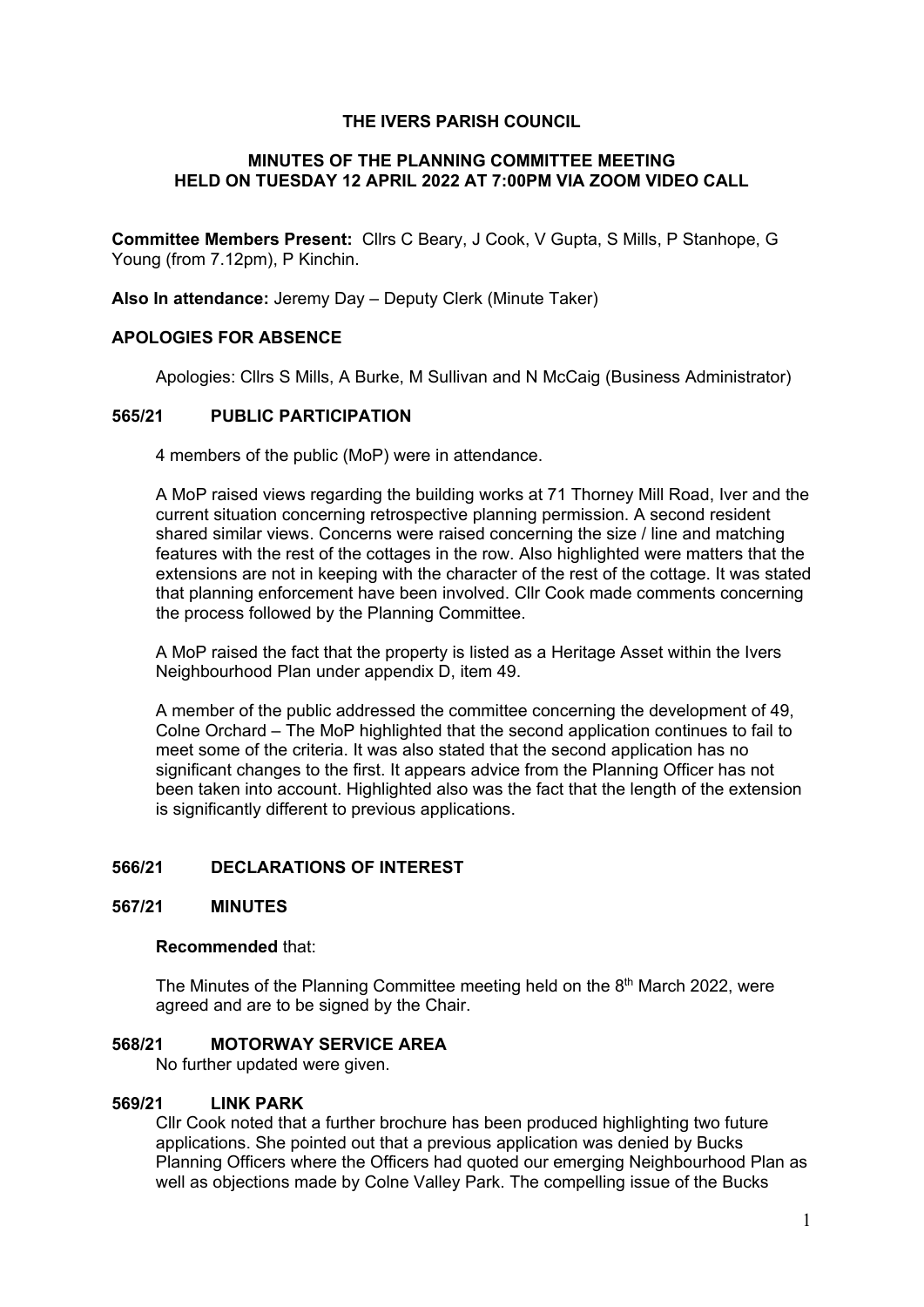#### **THE IVERS PARISH COUNCIL**

#### **MINUTES OF THE PLANNING COMMITTEE MEETING HELD ON TUESDAY 12 APRIL 2022 AT 7:00PM VIA ZOOM VIDEO CALL**

**Committee Members Present:** Cllrs C Beary, J Cook, V Gupta, S Mills, P Stanhope, G Young (from 7.12pm), P Kinchin.

**Also In attendance:** Jeremy Day – Deputy Clerk (Minute Taker)

# **APOLOGIES FOR ABSENCE**

Apologies: Cllrs S Mills, A Burke, M Sullivan and N McCaig (Business Administrator)

# **565/21 PUBLIC PARTICIPATION**

4 members of the public (MoP) were in attendance.

A MoP raised views regarding the building works at 71 Thorney Mill Road, Iver and the current situation concerning retrospective planning permission. A second resident shared similar views. Concerns were raised concerning the size / line and matching features with the rest of the cottages in the row. Also highlighted were matters that the extensions are not in keeping with the character of the rest of the cottage. It was stated that planning enforcement have been involved. Cllr Cook made comments concerning the process followed by the Planning Committee.

A MoP raised the fact that the property is listed as a Heritage Asset within the Ivers Neighbourhood Plan under appendix D, item 49.

A member of the public addressed the committee concerning the development of 49, Colne Orchard – The MoP highlighted that the second application continues to fail to meet some of the criteria. It was also stated that the second application has no significant changes to the first. It appears advice from the Planning Officer has not been taken into account. Highlighted also was the fact that the length of the extension is significantly different to previous applications.

# **566/21 DECLARATIONS OF INTEREST**

#### **567/21 MINUTES**

#### **Recommended** that:

The Minutes of the Planning Committee meeting held on the  $8<sup>th</sup>$  March 2022, were agreed and are to be signed by the Chair.

#### **568/21 MOTORWAY SERVICE AREA**

No further updated were given.

#### **569/21 LINK PARK**

Cllr Cook noted that a further brochure has been produced highlighting two future applications. She pointed out that a previous application was denied by Bucks Planning Officers where the Officers had quoted our emerging Neighbourhood Plan as well as objections made by Colne Valley Park. The compelling issue of the Bucks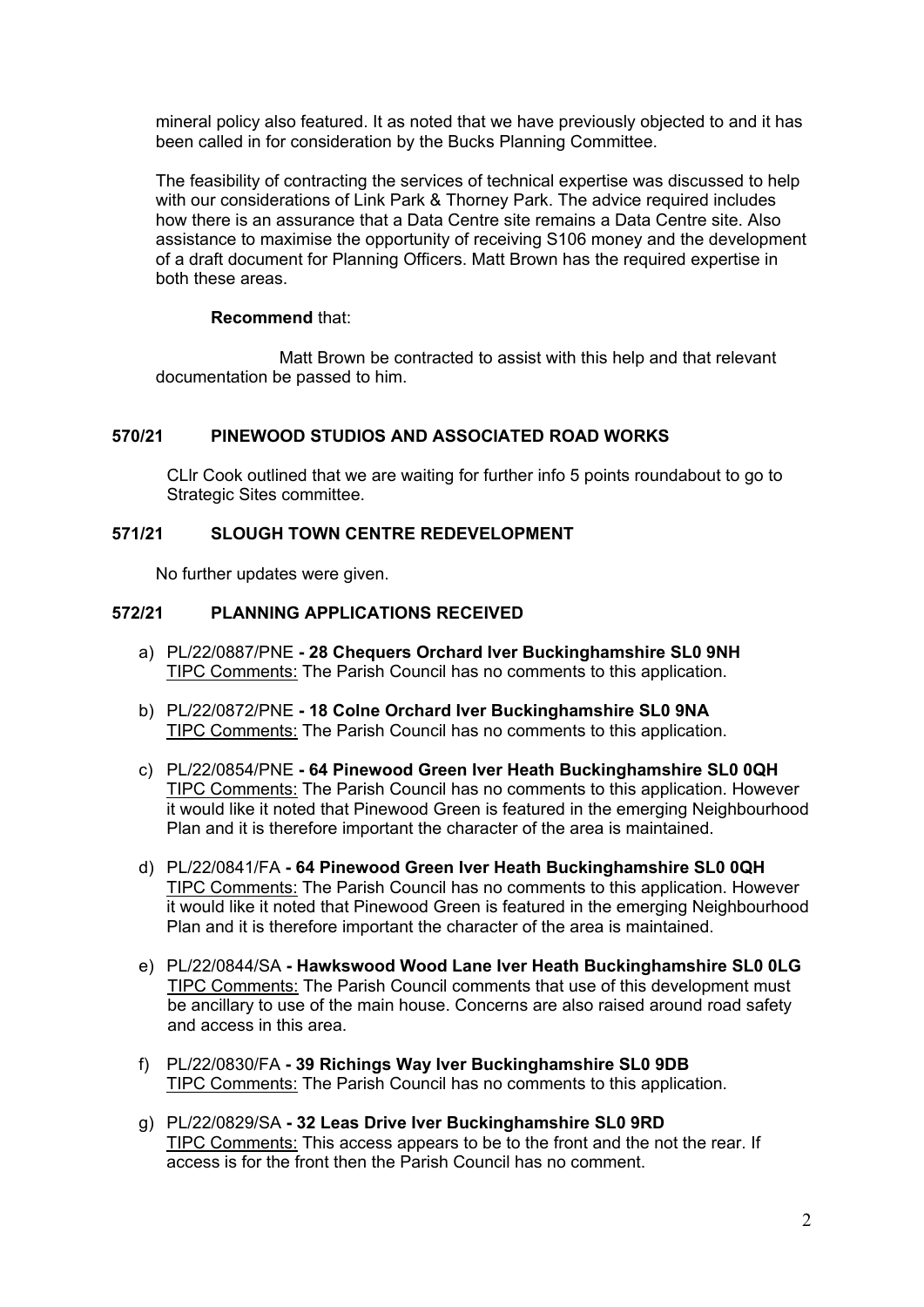mineral policy also featured. It as noted that we have previously objected to and it has been called in for consideration by the Bucks Planning Committee.

The feasibility of contracting the services of technical expertise was discussed to help with our considerations of Link Park & Thorney Park. The advice required includes how there is an assurance that a Data Centre site remains a Data Centre site. Also assistance to maximise the opportunity of receiving S106 money and the development of a draft document for Planning Officers. Matt Brown has the required expertise in both these areas.

# **Recommend** that:

 Matt Brown be contracted to assist with this help and that relevant documentation be passed to him.

# **570/21 PINEWOOD STUDIOS AND ASSOCIATED ROAD WORKS**

CLlr Cook outlined that we are waiting for further info 5 points roundabout to go to Strategic Sites committee.

# **571/21 SLOUGH TOWN CENTRE REDEVELOPMENT**

No further updates were given.

# **572/21 PLANNING APPLICATIONS RECEIVED**

- a) PL/22/0887/PNE **28 Chequers Orchard Iver Buckinghamshire SL0 9NH** TIPC Comments: The Parish Council has no comments to this application.
- b) PL/22/0872/PNE **18 Colne Orchard Iver Buckinghamshire SL0 9NA** TIPC Comments: The Parish Council has no comments to this application.
- c) PL/22/0854/PNE **64 Pinewood Green Iver Heath Buckinghamshire SL0 0QH** TIPC Comments: The Parish Council has no comments to this application. However it would like it noted that Pinewood Green is featured in the emerging Neighbourhood Plan and it is therefore important the character of the area is maintained.
- d) PL/22/0841/FA **64 Pinewood Green Iver Heath Buckinghamshire SL0 0QH** TIPC Comments: The Parish Council has no comments to this application. However it would like it noted that Pinewood Green is featured in the emerging Neighbourhood Plan and it is therefore important the character of the area is maintained.
- e) PL/22/0844/SA **Hawkswood Wood Lane Iver Heath Buckinghamshire SL0 0LG** TIPC Comments: The Parish Council comments that use of this development must be ancillary to use of the main house. Concerns are also raised around road safety and access in this area.
- f) PL/22/0830/FA **39 Richings Way Iver Buckinghamshire SL0 9DB** TIPC Comments: The Parish Council has no comments to this application.
- g) PL/22/0829/SA **32 Leas Drive Iver Buckinghamshire SL0 9RD** TIPC Comments: This access appears to be to the front and the not the rear. If access is for the front then the Parish Council has no comment.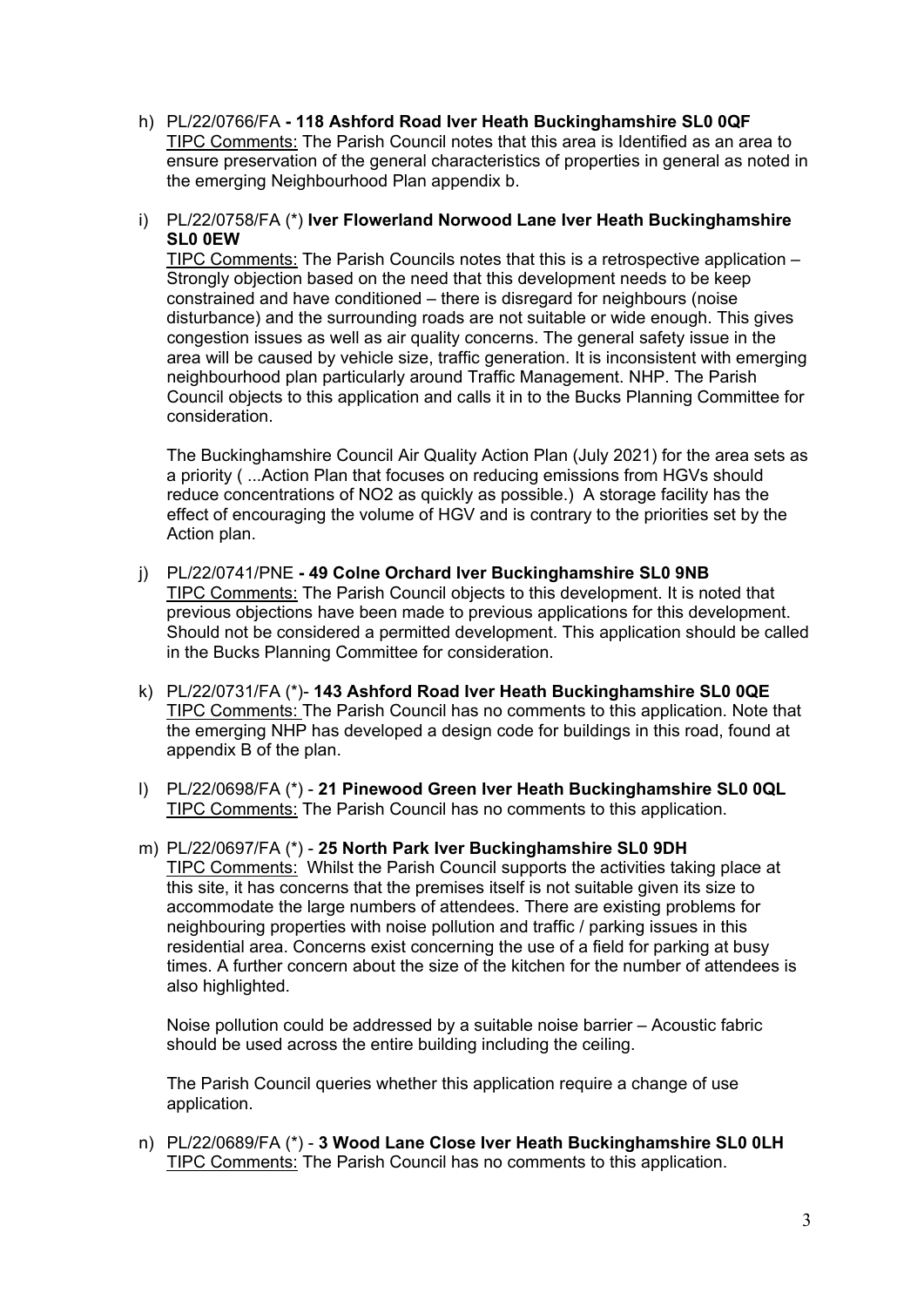- h) PL/22/0766/FA **118 Ashford Road Iver Heath Buckinghamshire SL0 0QF** TIPC Comments: The Parish Council notes that this area is Identified as an area to ensure preservation of the general characteristics of properties in general as noted in the emerging Neighbourhood Plan appendix b.
- i) PL/22/0758/FA (\*) **Iver Flowerland Norwood Lane Iver Heath Buckinghamshire SL0 0EW**

TIPC Comments: The Parish Councils notes that this is a retrospective application – Strongly objection based on the need that this development needs to be keep constrained and have conditioned – there is disregard for neighbours (noise disturbance) and the surrounding roads are not suitable or wide enough. This gives congestion issues as well as air quality concerns. The general safety issue in the area will be caused by vehicle size, traffic generation. It is inconsistent with emerging neighbourhood plan particularly around Traffic Management. NHP. The Parish Council objects to this application and calls it in to the Bucks Planning Committee for consideration.

The Buckinghamshire Council Air Quality Action Plan (July 2021) for the area sets as a priority ( ...Action Plan that focuses on reducing emissions from HGVs should reduce concentrations of NO2 as quickly as possible.) A storage facility has the effect of encouraging the volume of HGV and is contrary to the priorities set by the Action plan.

- j) PL/22/0741/PNE **49 Colne Orchard Iver Buckinghamshire SL0 9NB** TIPC Comments: The Parish Council objects to this development. It is noted that previous objections have been made to previous applications for this development. Should not be considered a permitted development. This application should be called in the Bucks Planning Committee for consideration.
- k) PL/22/0731/FA (\*)- **143 Ashford Road Iver Heath Buckinghamshire SL0 0QE** TIPC Comments: The Parish Council has no comments to this application. Note that the emerging NHP has developed a design code for buildings in this road, found at appendix B of the plan.
- l) PL/22/0698/FA (\*) **21 Pinewood Green Iver Heath Buckinghamshire SL0 0QL** TIPC Comments: The Parish Council has no comments to this application.
- m) PL/22/0697/FA (\*) **25 North Park Iver Buckinghamshire SL0 9DH TIPC Comments:** Whilst the Parish Council supports the activities taking place at this site, it has concerns that the premises itself is not suitable given its size to accommodate the large numbers of attendees. There are existing problems for neighbouring properties with noise pollution and traffic / parking issues in this residential area. Concerns exist concerning the use of a field for parking at busy times. A further concern about the size of the kitchen for the number of attendees is also highlighted.

Noise pollution could be addressed by a suitable noise barrier – Acoustic fabric should be used across the entire building including the ceiling.

The Parish Council queries whether this application require a change of use application.

n) PL/22/0689/FA (\*) - **3 Wood Lane Close Iver Heath Buckinghamshire SL0 0LH** TIPC Comments: The Parish Council has no comments to this application.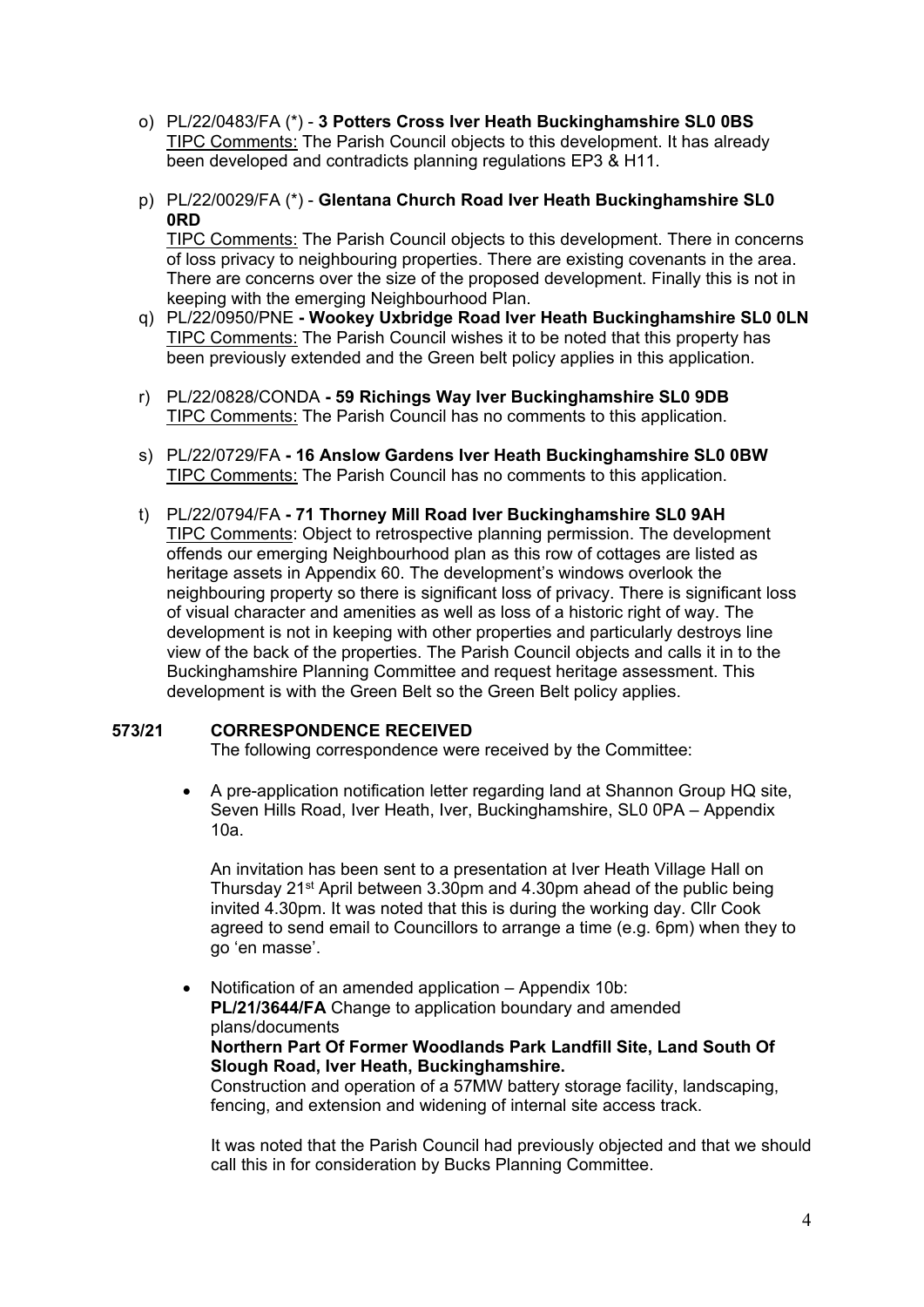- o) PL/22/0483/FA (\*) **3 Potters Cross Iver Heath Buckinghamshire SL0 0BS TIPC Comments: The Parish Council objects to this development. It has already** been developed and contradicts planning regulations EP3 & H11.
- p) PL/22/0029/FA (\*) **Glentana Church Road Iver Heath Buckinghamshire SL0 0RD** TIPC Comments: The Parish Council objects to this development. There in concerns of loss privacy to neighbouring properties. There are existing covenants in the area. There are concerns over the size of the proposed development. Finally this is not in keeping with the emerging Neighbourhood Plan.
- q) PL/22/0950/PNE **Wookey Uxbridge Road Iver Heath Buckinghamshire SL0 0LN**  TIPC Comments: The Parish Council wishes it to be noted that this property has been previously extended and the Green belt policy applies in this application.
- r) PL/22/0828/CONDA **59 Richings Way Iver Buckinghamshire SL0 9DB** TIPC Comments: The Parish Council has no comments to this application.
- s) PL/22/0729/FA **16 Anslow Gardens Iver Heath Buckinghamshire SL0 0BW** TIPC Comments: The Parish Council has no comments to this application.
- t) PL/22/0794/FA **71 Thorney Mill Road Iver Buckinghamshire SL0 9AH** TIPC Comments: Object to retrospective planning permission. The development offends our emerging Neighbourhood plan as this row of cottages are listed as heritage assets in Appendix 60. The development's windows overlook the neighbouring property so there is significant loss of privacy. There is significant loss of visual character and amenities as well as loss of a historic right of way. The development is not in keeping with other properties and particularly destroys line view of the back of the properties. The Parish Council objects and calls it in to the Buckinghamshire Planning Committee and request heritage assessment. This development is with the Green Belt so the Green Belt policy applies.

# **573/21 CORRESPONDENCE RECEIVED**

The following correspondence were received by the Committee:

• A pre-application notification letter regarding land at Shannon Group HQ site, Seven Hills Road, Iver Heath, Iver, Buckinghamshire, SL0 0PA – Appendix 10a.

An invitation has been sent to a presentation at Iver Heath Village Hall on Thursday 21st April between 3.30pm and 4.30pm ahead of the public being invited 4.30pm. It was noted that this is during the working day. Cllr Cook agreed to send email to Councillors to arrange a time (e.g. 6pm) when they to go 'en masse'.

• Notification of an amended application – Appendix 10b: **PL/21/3644/FA** Change to application boundary and amended plans/documents **Northern Part Of Former Woodlands Park Landfill Site, Land South Of Slough Road, Iver Heath, Buckinghamshire.** Construction and operation of a 57MW battery storage facility, landscaping, fencing, and extension and widening of internal site access track.

It was noted that the Parish Council had previously objected and that we should call this in for consideration by Bucks Planning Committee.